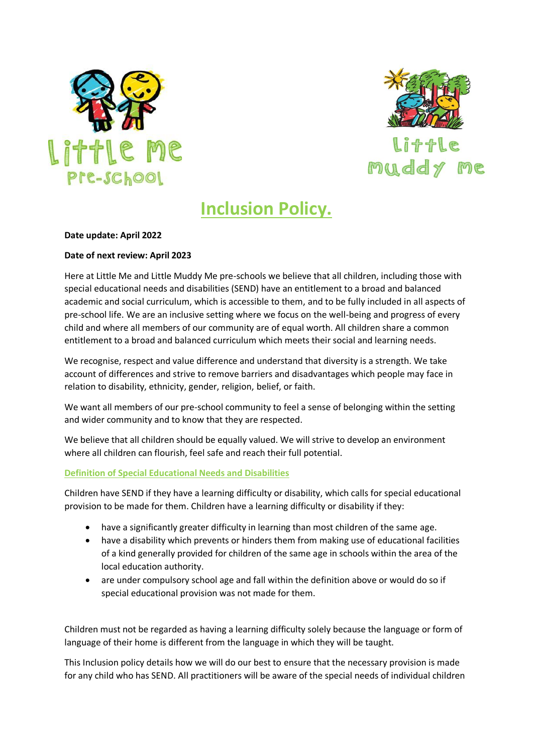



# **Inclusion Policy.**

## **Date update: April 2022**

## **Date of next review: April 2023**

Here at Little Me and Little Muddy Me pre-schools we believe that all children, including those with special educational needs and disabilities (SEND) have an entitlement to a broad and balanced academic and social curriculum, which is accessible to them, and to be fully included in all aspects of pre-school life. We are an inclusive setting where we focus on the well-being and progress of every child and where all members of our community are of equal worth. All children share a common entitlement to a broad and balanced curriculum which meets their social and learning needs.

We recognise, respect and value difference and understand that diversity is a strength. We take account of differences and strive to remove barriers and disadvantages which people may face in relation to disability, ethnicity, gender, religion, belief, or faith.

We want all members of our pre-school community to feel a sense of belonging within the setting and wider community and to know that they are respected.

We believe that all children should be equally valued. We will strive to develop an environment where all children can flourish, feel safe and reach their full potential.

#### **Definition of Special Educational Needs and Disabilities**

Children have SEND if they have a learning difficulty or disability, which calls for special educational provision to be made for them. Children have a learning difficulty or disability if they:

- have a significantly greater difficulty in learning than most children of the same age.
- have a disability which prevents or hinders them from making use of educational facilities of a kind generally provided for children of the same age in schools within the area of the local education authority.
- are under compulsory school age and fall within the definition above or would do so if special educational provision was not made for them.

Children must not be regarded as having a learning difficulty solely because the language or form of language of their home is different from the language in which they will be taught.

This Inclusion policy details how we will do our best to ensure that the necessary provision is made for any child who has SEND. All practitioners will be aware of the special needs of individual children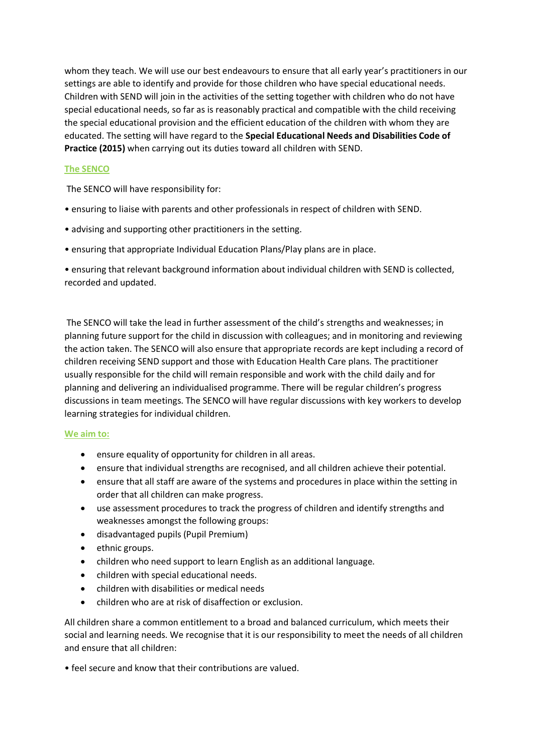whom they teach. We will use our best endeavours to ensure that all early year's practitioners in our settings are able to identify and provide for those children who have special educational needs. Children with SEND will join in the activities of the setting together with children who do not have special educational needs, so far as is reasonably practical and compatible with the child receiving the special educational provision and the efficient education of the children with whom they are educated. The setting will have regard to the **Special Educational Needs and Disabilities Code of Practice (2015)** when carrying out its duties toward all children with SEND.

# **The SENCO**

The SENCO will have responsibility for:

- ensuring to liaise with parents and other professionals in respect of children with SEND.
- advising and supporting other practitioners in the setting.
- ensuring that appropriate Individual Education Plans/Play plans are in place.

• ensuring that relevant background information about individual children with SEND is collected, recorded and updated.

The SENCO will take the lead in further assessment of the child's strengths and weaknesses; in planning future support for the child in discussion with colleagues; and in monitoring and reviewing the action taken. The SENCO will also ensure that appropriate records are kept including a record of children receiving SEND support and those with Education Health Care plans. The practitioner usually responsible for the child will remain responsible and work with the child daily and for planning and delivering an individualised programme. There will be regular children's progress discussions in team meetings. The SENCO will have regular discussions with key workers to develop learning strategies for individual children.

## **We aim to:**

- ensure equality of opportunity for children in all areas.
- ensure that individual strengths are recognised, and all children achieve their potential.
- ensure that all staff are aware of the systems and procedures in place within the setting in order that all children can make progress.
- use assessment procedures to track the progress of children and identify strengths and weaknesses amongst the following groups:
- disadvantaged pupils (Pupil Premium)
- ethnic groups.
- children who need support to learn English as an additional language.
- children with special educational needs.
- children with disabilities or medical needs
- children who are at risk of disaffection or exclusion.

All children share a common entitlement to a broad and balanced curriculum, which meets their social and learning needs. We recognise that it is our responsibility to meet the needs of all children and ensure that all children:

• feel secure and know that their contributions are valued.